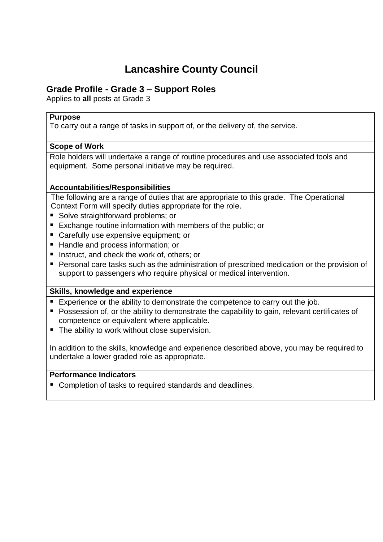# **Lancashire County Council**

## **Grade Profile - Grade 3 – Support Roles**

Applies to **all** posts at Grade 3

## **Purpose**

To carry out a range of tasks in support of, or the delivery of, the service.

## **Scope of Work**

Role holders will undertake a range of routine procedures and use associated tools and equipment. Some personal initiative may be required.

## **Accountabilities/Responsibilities**

The following are a range of duties that are appropriate to this grade. The Operational Context Form will specify duties appropriate for the role.

- Solve straightforward problems; or
- Exchange routine information with members of the public; or
- **Carefully use expensive equipment; or**
- Handle and process information: or
- Instruct, and check the work of, others; or
- **Personal care tasks such as the administration of prescribed medication or the provision of** support to passengers who require physical or medical intervention.

## **Skills, knowledge and experience**

- Experience or the ability to demonstrate the competence to carry out the job.
- **Possession of, or the ability to demonstrate the capability to gain, relevant certificates of** competence or equivalent where applicable.
- The ability to work without close supervision.

In addition to the skills, knowledge and experience described above, you may be required to undertake a lower graded role as appropriate.

## **Performance Indicators**

■ Completion of tasks to required standards and deadlines.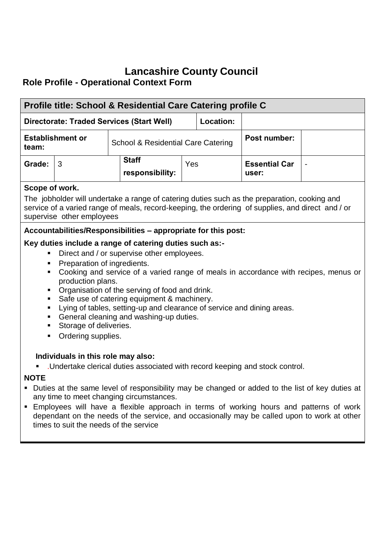## **Lancashire County Council Role Profile - Operational Context Form**

| Profile title: School & Residential Care Catering profile C                                                                                                                                                                                                                                                                                                                                                                                                                                                                                                                                         |                           |                                               |                                                                                                                                                                                                   |     |              |                               |  |
|-----------------------------------------------------------------------------------------------------------------------------------------------------------------------------------------------------------------------------------------------------------------------------------------------------------------------------------------------------------------------------------------------------------------------------------------------------------------------------------------------------------------------------------------------------------------------------------------------------|---------------------------|-----------------------------------------------|---------------------------------------------------------------------------------------------------------------------------------------------------------------------------------------------------|-----|--------------|-------------------------------|--|
| Location:<br><b>Directorate: Traded Services (Start Well)</b>                                                                                                                                                                                                                                                                                                                                                                                                                                                                                                                                       |                           |                                               |                                                                                                                                                                                                   |     |              |                               |  |
| <b>Establishment or</b><br>team:                                                                                                                                                                                                                                                                                                                                                                                                                                                                                                                                                                    |                           | <b>School &amp; Residential Care Catering</b> |                                                                                                                                                                                                   |     | Post number: |                               |  |
| Grade:                                                                                                                                                                                                                                                                                                                                                                                                                                                                                                                                                                                              | 3                         |                                               | <b>Staff</b><br>responsibility:                                                                                                                                                                   | Yes |              | <b>Essential Car</b><br>user: |  |
| Scope of work.                                                                                                                                                                                                                                                                                                                                                                                                                                                                                                                                                                                      | supervise other employees |                                               | The jobholder will undertake a range of catering duties such as the preparation, cooking and<br>service of a varied range of meals, record-keeping, the ordering of supplies, and direct and / or |     |              |                               |  |
| Accountabilities/Responsibilities - appropriate for this post:<br>Key duties include a range of catering duties such as:-<br>Direct and / or supervise other employees.<br>Preparation of ingredients.<br>Cooking and service of a varied range of meals in accordance with recipes, menus or<br>production plans.<br>Organisation of the serving of food and drink.<br>Safe use of catering equipment & machinery.<br>Lying of tables, setting-up and clearance of service and dining areas.<br>Ξ<br>General cleaning and washing-up duties.<br>Storage of deliveries.<br>Ordering supplies.<br>π. |                           |                                               |                                                                                                                                                                                                   |     |              |                               |  |
| Individuals in this role may also:<br>.Undertake clerical duties associated with record keeping and stock control.<br><b>NOTE</b><br>• Duties at the same level of responsibility may be changed or added to the list of key duties at<br>any time to meet changing circumstances.<br>Employees will have a flexible approach in terms of working hours and patterns of work<br>$\blacksquare$<br>dependant on the needs of the service, and occasionally may be called upon to work at other<br>times to suit the needs of the service                                                             |                           |                                               |                                                                                                                                                                                                   |     |              |                               |  |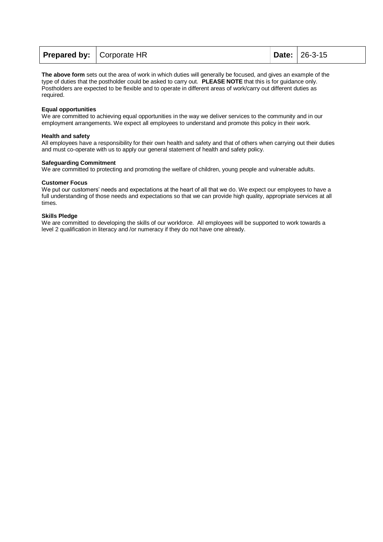| <b>Prepared by:</b>   Corporate HR |  |  | <b>Date:</b> 26-3-15 |
|------------------------------------|--|--|----------------------|
|------------------------------------|--|--|----------------------|

**The above form** sets out the area of work in which duties will generally be focused, and gives an example of the type of duties that the postholder could be asked to carry out. **PLEASE NOTE** that this is for guidance only. Postholders are expected to be flexible and to operate in different areas of work/carry out different duties as required.

#### **Equal opportunities**

We are committed to achieving equal opportunities in the way we deliver services to the community and in our employment arrangements. We expect all employees to understand and promote this policy in their work.

#### **Health and safety**

All employees have a responsibility for their own health and safety and that of others when carrying out their duties and must co-operate with us to apply our general statement of health and safety policy.

#### **Safeguarding Commitment**

We are committed to protecting and promoting the welfare of children, young people and vulnerable adults.

#### **Customer Focus**

We put our customers' needs and expectations at the heart of all that we do. We expect our employees to have a full understanding of those needs and expectations so that we can provide high quality, appropriate services at all times.

#### **Skills Pledge**

We are committed to developing the skills of our workforce. All employees will be supported to work towards a level 2 qualification in literacy and /or numeracy if they do not have one already.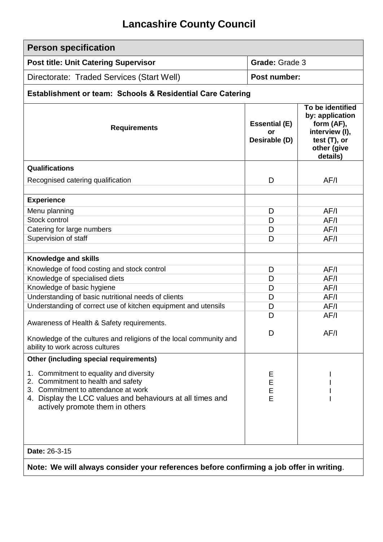# **Lancashire County Council**

| <b>Person specification</b>                                                                                                                                                                                                |                                             |                                                                                                                   |  |  |  |
|----------------------------------------------------------------------------------------------------------------------------------------------------------------------------------------------------------------------------|---------------------------------------------|-------------------------------------------------------------------------------------------------------------------|--|--|--|
| <b>Post title: Unit Catering Supervisor</b>                                                                                                                                                                                | <b>Grade: Grade 3</b>                       |                                                                                                                   |  |  |  |
| Directorate: Traded Services (Start Well)                                                                                                                                                                                  | Post number:                                |                                                                                                                   |  |  |  |
| Establishment or team: Schools & Residential Care Catering                                                                                                                                                                 |                                             |                                                                                                                   |  |  |  |
| <b>Requirements</b>                                                                                                                                                                                                        | <b>Essential (E)</b><br>or<br>Desirable (D) | To be identified<br>by: application<br>form (AF),<br>interview (I),<br>test $(T)$ , or<br>other (give<br>details) |  |  |  |
| Qualifications                                                                                                                                                                                                             |                                             |                                                                                                                   |  |  |  |
| Recognised catering qualification                                                                                                                                                                                          | D                                           | AF/I                                                                                                              |  |  |  |
| <b>Experience</b>                                                                                                                                                                                                          |                                             |                                                                                                                   |  |  |  |
| Menu planning<br>Stock control                                                                                                                                                                                             | D                                           | AF/I                                                                                                              |  |  |  |
|                                                                                                                                                                                                                            | D                                           | AF/I                                                                                                              |  |  |  |
| Catering for large numbers<br>Supervision of staff                                                                                                                                                                         | D<br>D                                      | AF/I                                                                                                              |  |  |  |
|                                                                                                                                                                                                                            |                                             | AF/I                                                                                                              |  |  |  |
| Knowledge and skills                                                                                                                                                                                                       |                                             |                                                                                                                   |  |  |  |
| Knowledge of food costing and stock control                                                                                                                                                                                | D                                           | AF/I                                                                                                              |  |  |  |
| Knowledge of specialised diets                                                                                                                                                                                             | D                                           | AF/I                                                                                                              |  |  |  |
| Knowledge of basic hygiene                                                                                                                                                                                                 | D                                           | AF/I                                                                                                              |  |  |  |
| Understanding of basic nutritional needs of clients                                                                                                                                                                        | D                                           | AF/I                                                                                                              |  |  |  |
| Understanding of correct use of kitchen equipment and utensils                                                                                                                                                             | D                                           | AF/I                                                                                                              |  |  |  |
| Awareness of Health & Safety requirements.                                                                                                                                                                                 | D                                           | AF/I                                                                                                              |  |  |  |
| Knowledge of the cultures and religions of the local community and<br>ability to work across cultures                                                                                                                      | D                                           | AF/I                                                                                                              |  |  |  |
| <b>Other (including special requirements)</b>                                                                                                                                                                              |                                             |                                                                                                                   |  |  |  |
| Commitment to equality and diversity<br>1.<br>Commitment to health and safety<br>2.<br>3. Commitment to attendance at work<br>4. Display the LCC values and behaviours at all times and<br>actively promote them in others | Ε<br>E<br>E<br>E                            |                                                                                                                   |  |  |  |
|                                                                                                                                                                                                                            |                                             |                                                                                                                   |  |  |  |
| Date: 26-3-15                                                                                                                                                                                                              |                                             |                                                                                                                   |  |  |  |
| Note: We will always consider your references before confirming a job offer in writing.                                                                                                                                    |                                             |                                                                                                                   |  |  |  |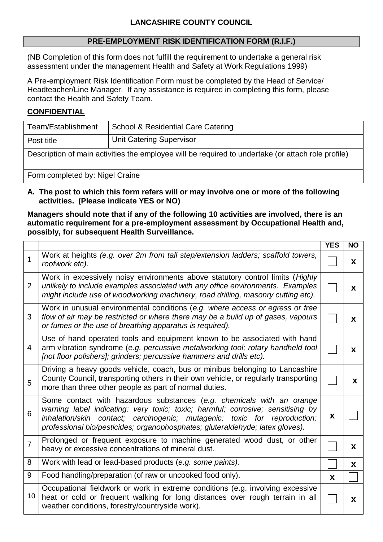## **PRE-EMPLOYMENT RISK IDENTIFICATION FORM (R.I.F.)**

(NB Completion of this form does not fulfill the requirement to undertake a general risk assessment under the management Health and Safety at Work Regulations 1999)

A Pre-employment Risk Identification Form must be completed by the Head of Service/ Headteacher/Line Manager. If any assistance is required in completing this form, please contact the Health and Safety Team.

## **CONFIDENTIAL**

| Team/Establishment                                                                                 | <b>School &amp; Residential Care Catering</b> |  |  |  |
|----------------------------------------------------------------------------------------------------|-----------------------------------------------|--|--|--|
| <b>Unit Catering Supervisor</b><br>Post title                                                      |                                               |  |  |  |
| Description of main activities the employee will be required to undertake (or attach role profile) |                                               |  |  |  |
| Form completed by: Nigel Craine                                                                    |                                               |  |  |  |

## **A. The post to which this form refers will or may involve one or more of the following activities. (Please indicate YES or NO)**

## **Managers should note that if any of the following 10 activities are involved, there is an automatic requirement for a pre-employment assessment by Occupational Health and, possibly, for subsequent Health Surveillance.**

|                |                                                                                                                                                                                                                                                                                                                        | <b>YES</b> | <b>NO</b> |
|----------------|------------------------------------------------------------------------------------------------------------------------------------------------------------------------------------------------------------------------------------------------------------------------------------------------------------------------|------------|-----------|
| $\mathbf 1$    | Work at heights (e.g. over 2m from tall step/extension ladders; scaffold towers,<br>roofwork etc).                                                                                                                                                                                                                     |            | X         |
| 2              | Work in excessively noisy environments above statutory control limits (Highly<br>unlikely to include examples associated with any office environments. Examples<br>might include use of woodworking machinery, road drilling, masonry cutting etc).                                                                    |            | X         |
| 3              | Work in unusual environmental conditions (e.g. where access or egress or free<br>flow of air may be restricted or where there may be a build up of gases, vapours<br>or fumes or the use of breathing apparatus is required).                                                                                          |            | X         |
| $\overline{4}$ | Use of hand operated tools and equipment known to be associated with hand<br>arm vibration syndrome (e.g. percussive metalworking tool; rotary handheld tool<br>[not floor polishers]; grinders; percussive hammers and drills etc).                                                                                   |            | X         |
| 5              | Driving a heavy goods vehicle, coach, bus or minibus belonging to Lancashire<br>County Council, transporting others in their own vehicle, or regularly transporting<br>more than three other people as part of normal duties.                                                                                          |            | X         |
| 6              | Some contact with hazardous substances (e.g. chemicals with an orange<br>warning label indicating: very toxic; toxic; harmful; corrosive; sensitising by<br>inhalation/skin contact; carcinogenic; mutagenic; toxic for reproduction;<br>professional bio/pesticides; organophosphates; gluteraldehyde; latex gloves). | X          |           |
| $\overline{7}$ | Prolonged or frequent exposure to machine generated wood dust, or other<br>heavy or excessive concentrations of mineral dust.                                                                                                                                                                                          |            | X         |
| 8              | Work with lead or lead-based products (e.g. some paints).                                                                                                                                                                                                                                                              |            | X         |
| 9              | Food handling/preparation (of raw or uncooked food only).                                                                                                                                                                                                                                                              | X          |           |
| 10             | Occupational fieldwork or work in extreme conditions (e.g. involving excessive<br>heat or cold or frequent walking for long distances over rough terrain in all<br>weather conditions, forestry/countryside work).                                                                                                     |            | X         |